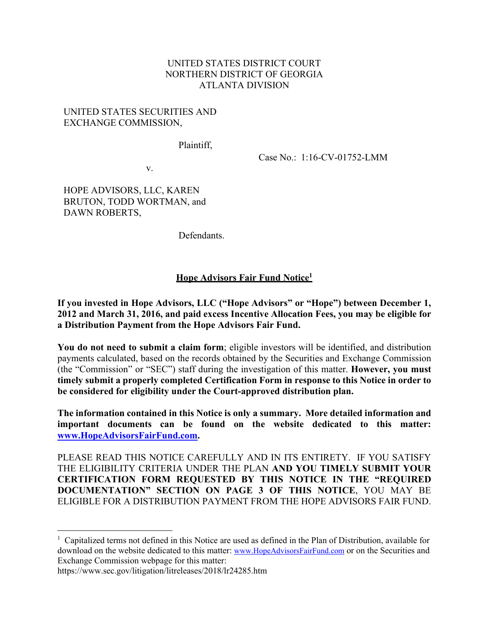#### UNITED STATES DISTRICT COURT NORTHERN DISTRICT OF GEORGIA ATLANTA DIVISION

#### UNITED STATES SECURITIES AND EXCHANGE COMMISSION,

Plaintiff,

Case No.: 1:16-CV-01752-LMM

v.

HOPE ADVISORS, LLC, KAREN BRUTON, TODD WORTMAN, and DAWN ROBERTS,

Defendants.

### **Hope Advisors Fair Fund Notice<sup>1</sup>**

**If you invested in Hope Advisors, LLC ("Hope Advisors" or "Hope") between December 1, 2012 and March 31, 2016, and paid excess Incentive Allocation Fees, you may be eligible for a Distribution Payment from the Hope Advisors Fair Fund.** 

**You do not need to submit a claim form**; eligible investors will be identified, and distribution payments calculated, based on the records obtained by the Securities and Exchange Commission (the "Commission" or "SEC") staff during the investigation of this matter. **However, you must timely submit a properly completed Certification Form in response to this Notice in order to be considered for eligibility under the Court-approved distribution plan.** 

**The information contained in this Notice is only a summary. More detailed information and important documents can be found on the website dedicated to this matter: www.HopeAdvisorsFairFund.com.** 

PLEASE READ THIS NOTICE CAREFULLY AND IN ITS ENTIRETY. IF YOU SATISFY THE ELIGIBILITY CRITERIA UNDER THE PLAN **AND YOU TIMELY SUBMIT YOUR CERTIFICATION FORM REQUESTED BY THIS NOTICE IN THE "REQUIRED DOCUMENTATION" SECTION ON PAGE 3 OF THIS NOTICE**, YOU MAY BE ELIGIBLE FOR A DISTRIBUTION PAYMENT FROM THE HOPE ADVISORS FAIR FUND.

https://www.sec.gov/litigation/litreleases/2018/lr24285.htm

<sup>&</sup>lt;sup>1</sup> Capitalized terms not defined in this Notice are used as defined in the Plan of Distribution, available for download on the website dedicated to this matter: www.HopeAdvisorsFairFund.com or on the Securities and Exchange Commission webpage for this matter: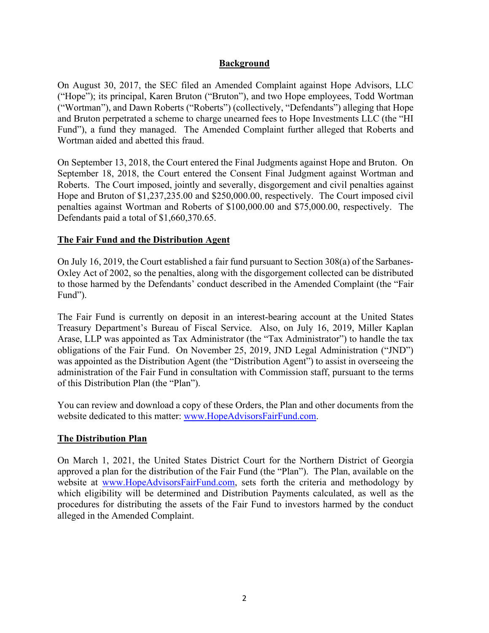### **Background**

On August 30, 2017, the SEC filed an Amended Complaint against Hope Advisors, LLC ("Hope"); its principal, Karen Bruton ("Bruton"), and two Hope employees, Todd Wortman ("Wortman"), and Dawn Roberts ("Roberts") (collectively, "Defendants") alleging that Hope and Bruton perpetrated a scheme to charge unearned fees to Hope Investments LLC (the "HI Fund"), a fund they managed. The Amended Complaint further alleged that Roberts and Wortman aided and abetted this fraud.

On September 13, 2018, the Court entered the Final Judgments against Hope and Bruton. On September 18, 2018, the Court entered the Consent Final Judgment against Wortman and Roberts. The Court imposed, jointly and severally, disgorgement and civil penalties against Hope and Bruton of \$1,237,235.00 and \$250,000.00, respectively. The Court imposed civil penalties against Wortman and Roberts of \$100,000.00 and \$75,000.00, respectively. The Defendants paid a total of \$1,660,370.65.

### **The Fair Fund and the Distribution Agent**

On July 16, 2019, the Court established a fair fund pursuant to Section 308(a) of the Sarbanes-Oxley Act of 2002, so the penalties, along with the disgorgement collected can be distributed to those harmed by the Defendants' conduct described in the Amended Complaint (the "Fair Fund").

The Fair Fund is currently on deposit in an interest-bearing account at the United States Treasury Department's Bureau of Fiscal Service. Also, on July 16, 2019, Miller Kaplan Arase, LLP was appointed as Tax Administrator (the "Tax Administrator") to handle the tax obligations of the Fair Fund. On November 25, 2019, JND Legal Administration ("JND") was appointed as the Distribution Agent (the "Distribution Agent") to assist in overseeing the administration of the Fair Fund in consultation with Commission staff, pursuant to the terms of this Distribution Plan (the "Plan").

You can review and download a copy of these Orders, the Plan and other documents from the website dedicated to this matter: www.HopeAdvisorsFairFund.com.

# **The Distribution Plan**

On March 1, 2021, the United States District Court for the Northern District of Georgia approved a plan for the distribution of the Fair Fund (the "Plan"). The Plan, available on the website at www.HopeAdvisorsFairFund.com, sets forth the criteria and methodology by which eligibility will be determined and Distribution Payments calculated, as well as the procedures for distributing the assets of the Fair Fund to investors harmed by the conduct alleged in the Amended Complaint.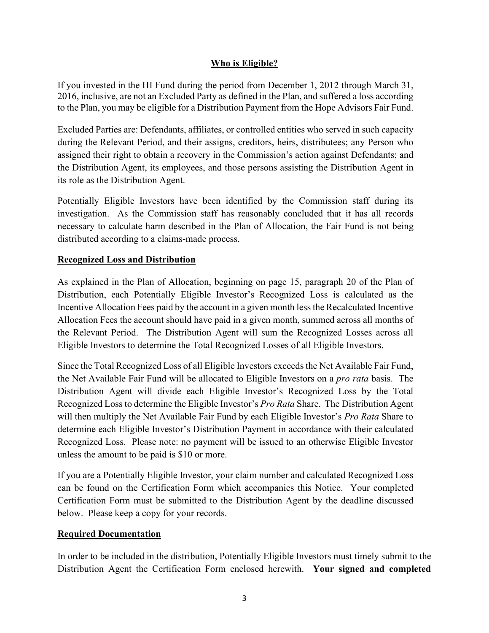# **Who is Eligible?**

If you invested in the HI Fund during the period from December 1, 2012 through March 31, 2016, inclusive, are not an Excluded Party as defined in the Plan, and suffered a loss according to the Plan, you may be eligible for a Distribution Payment from the Hope Advisors Fair Fund.

Excluded Parties are: Defendants, affiliates, or controlled entities who served in such capacity during the Relevant Period, and their assigns, creditors, heirs, distributees; any Person who assigned their right to obtain a recovery in the Commission's action against Defendants; and the Distribution Agent, its employees, and those persons assisting the Distribution Agent in its role as the Distribution Agent.

Potentially Eligible Investors have been identified by the Commission staff during its investigation. As the Commission staff has reasonably concluded that it has all records necessary to calculate harm described in the Plan of Allocation, the Fair Fund is not being distributed according to a claims-made process.

# **Recognized Loss and Distribution**

As explained in the Plan of Allocation, beginning on page 15, paragraph 20 of the Plan of Distribution, each Potentially Eligible Investor's Recognized Loss is calculated as the Incentive Allocation Fees paid by the account in a given month less the Recalculated Incentive Allocation Fees the account should have paid in a given month, summed across all months of the Relevant Period. The Distribution Agent will sum the Recognized Losses across all Eligible Investors to determine the Total Recognized Losses of all Eligible Investors.

Since the Total Recognized Loss of all Eligible Investors exceeds the Net Available Fair Fund, the Net Available Fair Fund will be allocated to Eligible Investors on a *pro rata* basis. The Distribution Agent will divide each Eligible Investor's Recognized Loss by the Total Recognized Loss to determine the Eligible Investor's *Pro Rata* Share. The Distribution Agent will then multiply the Net Available Fair Fund by each Eligible Investor's *Pro Rata* Share to determine each Eligible Investor's Distribution Payment in accordance with their calculated Recognized Loss. Please note: no payment will be issued to an otherwise Eligible Investor unless the amount to be paid is \$10 or more.

If you are a Potentially Eligible Investor, your claim number and calculated Recognized Loss can be found on the Certification Form which accompanies this Notice. Your completed Certification Form must be submitted to the Distribution Agent by the deadline discussed below. Please keep a copy for your records.

# **Required Documentation**

In order to be included in the distribution, Potentially Eligible Investors must timely submit to the Distribution Agent the Certification Form enclosed herewith. **Your signed and completed**